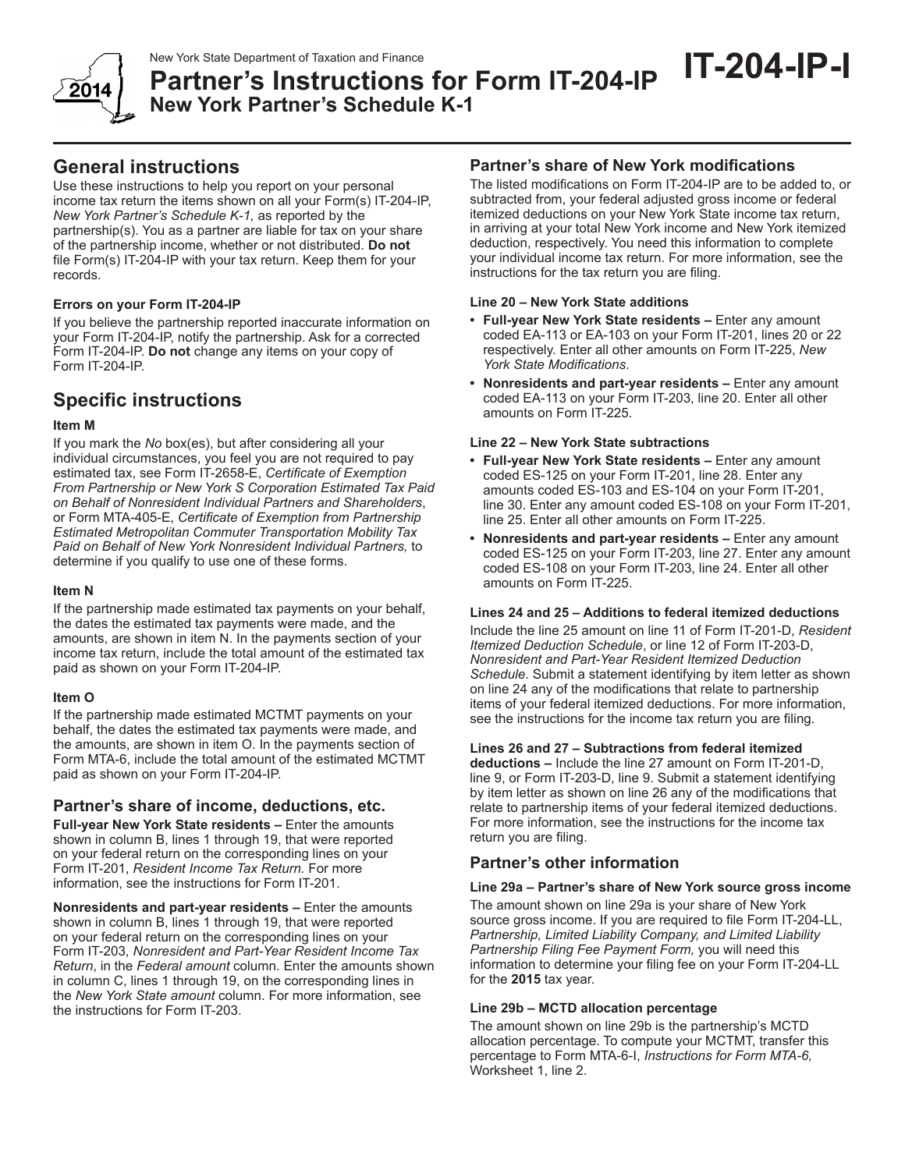

New York State Department of Taxation and Finance<br>**Partner's Instructions for Form IT-204-IP** IT-204-IP **New York Partner's Schedule K-1**

# **General instructions**

Use these instructions to help you report on your personal income tax return the items shown on all your Form(s) IT-204-IP, *New York Partner's Schedule K-1,* as reported by the partnership(s). You as a partner are liable for tax on your share of the partnership income, whether or not distributed. **Do not** file Form(s) IT-204-IP with your tax return. Keep them for your records.

# **Errors on your Form IT-204-IP**

If you believe the partnership reported inaccurate information on your Form IT-204-IP, notify the partnership. Ask for a corrected Form IT-204-IP. **Do not** change any items on your copy of Form IT-204-IP.

# **Specific instructions**

# **Item M**

If you mark the *No* box(es), but after considering all your individual circumstances, you feel you are not required to pay estimated tax, see Form IT-2658-E, *Certificate of Exemption From Partnership or New York S Corporation Estimated Tax Paid on Behalf of Nonresident Individual Partners and Shareholders*, or Form MTA-405-E, *Certificate of Exemption from Partnership Estimated Metropolitan Commuter Transportation Mobility Tax Paid on Behalf of New York Nonresident Individual Partners,* to determine if you qualify to use one of these forms.

### **Item N**

If the partnership made estimated tax payments on your behalf, the dates the estimated tax payments were made, and the amounts, are shown in item N. In the payments section of your income tax return, include the total amount of the estimated tax paid as shown on your Form IT-204-IP.

## **Item O**

If the partnership made estimated MCTMT payments on your behalf, the dates the estimated tax payments were made, and the amounts, are shown in item O. In the payments section of Form MTA-6, include the total amount of the estimated MCTMT paid as shown on your Form IT-204-IP.

# **Partner's share of income, deductions, etc.**

**Full-year New York State residents –** Enter the amounts shown in column B, lines 1 through 19, that were reported on your federal return on the corresponding lines on your Form IT-201, *Resident Income Tax Return.* For more information, see the instructions for Form IT-201.

**Nonresidents and part-year residents –** Enter the amounts shown in column B, lines 1 through 19, that were reported on your federal return on the corresponding lines on your Form IT-203, *Nonresident and Part-Year Resident Income Tax Return*, in the *Federal amount* column. Enter the amounts shown in column C, lines 1 through 19, on the corresponding lines in the *New York State amount* column. For more information, see the instructions for Form IT-203.

# **Partner's share of New York modifications**

The listed modifications on Form IT-204-IP are to be added to, or subtracted from, your federal adjusted gross income or federal itemized deductions on your New York State income tax return, in arriving at your total New York income and New York itemized deduction, respectively. You need this information to complete your individual income tax return. For more information, see the instructions for the tax return you are filing.

## **Line 20 – New York State additions**

- **• Full-year New York State residents –** Enter any amount coded EA-113 or EA-103 on your Form IT-201, lines 20 or 22 respectively. Enter all other amounts on Form IT-225, *New York State Modifications*.
- **• Nonresidents and part-year residents –** Enter any amount coded EA-113 on your Form IT-203, line 20. Enter all other amounts on Form IT-225.

## **Line 22 – New York State subtractions**

- **• Full-year New York State residents –** Enter any amount coded ES-125 on your Form IT-201, line 28. Enter any amounts coded ES-103 and ES-104 on your Form IT-201, line 30. Enter any amount coded ES-108 on your Form IT-201, line 25. Enter all other amounts on Form IT-225.
- **• Nonresidents and part-year residents –** Enter any amount coded ES-125 on your Form IT-203, line 27. Enter any amount coded ES-108 on your Form IT-203, line 24. Enter all other amounts on Form IT-225.

#### **Lines 24 and 25 – Additions to federal itemized deductions**

Include the line 25 amount on line 11 of Form IT-201-D, *Resident Itemized Deduction Schedule*, or line 12 of Form IT-203-D, *Nonresident and Part-Year Resident Itemized Deduction Schedule*. Submit a statement identifying by item letter as shown on line 24 any of the modifications that relate to partnership items of your federal itemized deductions. For more information, see the instructions for the income tax return you are filing.

#### **Lines 26 and 27 – Subtractions from federal itemized**

**deductions –** Include the line 27 amount on Form IT-201-D, line 9, or Form IT-203-D, line 9. Submit a statement identifying by item letter as shown on line 26 any of the modifications that relate to partnership items of your federal itemized deductions. For more information, see the instructions for the income tax return you are filing.

# **Partner's other information**

## **Line 29a – Partner's share of New York source gross income**

The amount shown on line 29a is your share of New York source gross income. If you are required to file Form IT-204-LL, *Partnership, Limited Liability Company, and Limited Liability Partnership Filing Fee Payment Form,* you will need this information to determine your filing fee on your Form IT-204-LL for the **2015** tax year.

## **Line 29b – MCTD allocation percentage**

The amount shown on line 29b is the partnership's MCTD allocation percentage. To compute your MCTMT, transfer this percentage to Form MTA-6-I, *Instructions for Form MTA-6,* Worksheet 1, line 2.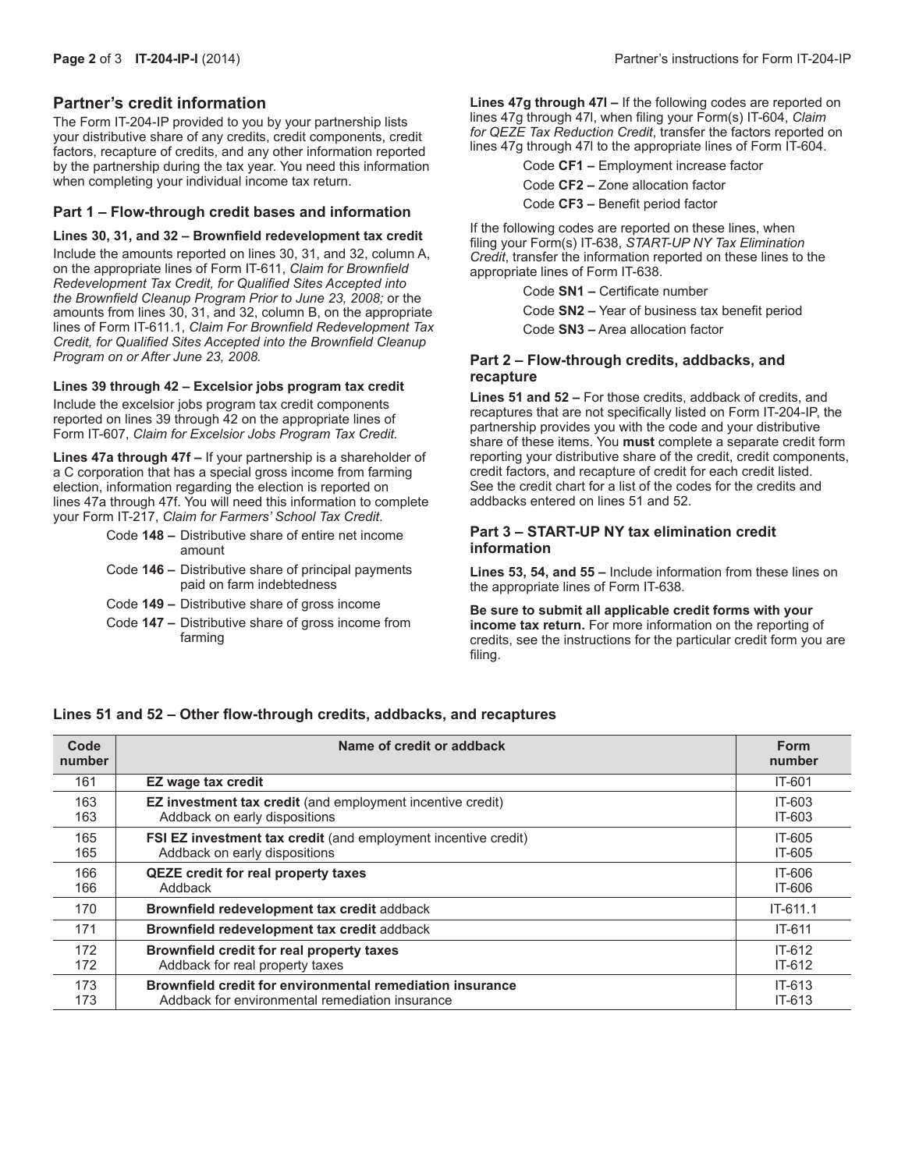# **Partner's credit information**

The Form IT-204-IP provided to you by your partnership lists your distributive share of any credits, credit components, credit factors, recapture of credits, and any other information reported by the partnership during the tax year. You need this information when completing your individual income tax return.

### **Part 1 – Flow-through credit bases and information**

#### **Lines 30, 31, and 32 – Brownfield redevelopment tax credit**

Include the amounts reported on lines 30, 31, and 32, column A, on the appropriate lines of Form IT-611, *Claim for Brownfield Redevelopment Tax Credit, for Qualified Sites Accepted into the Brownfield Cleanup Program Prior to June 23, 2008;* or the amounts from lines 30, 31, and 32, column B, on the appropriate lines of Form IT-611.1, *Claim For Brownfield Redevelopment Tax Credit, for Qualified Sites Accepted into the Brownfield Cleanup Program on or After June 23, 2008.*

#### **Lines 39 through 42 – Excelsior jobs program tax credit**

Include the excelsior jobs program tax credit components reported on lines 39 through 42 on the appropriate lines of Form IT-607, *Claim for Excelsior Jobs Program Tax Credit.*

**Lines 47a through 47f –** If your partnership is a shareholder of a C corporation that has a special gross income from farming election, information regarding the election is reported on lines 47a through 47f. You will need this information to complete your Form IT-217, *Claim for Farmers' School Tax Credit*.

- Code **148 –** Distributive share of entire net income amount
- Code **146 –** Distributive share of principal payments paid on farm indebtedness
- Code **149 –** Distributive share of gross income
- Code **147 –** Distributive share of gross income from farming

lines 47g through 47l, when filing your Form(s) IT-604, *Claim for QEZE Tax Reduction Credit*, transfer the factors reported on lines 47g through 47l to the appropriate lines of Form IT-604.

Code **CF1 –** Employment increase factor

Code **CF2 –** Zone allocation factor

Code **CF3 –** Benefit period factor

If the following codes are reported on these lines, when filing your Form(s) IT-638, *START-UP NY Tax Elimination Credit*, transfer the information reported on these lines to the appropriate lines of Form IT-638.

Code **SN1 –** Certificate number

Code **SN2 –** Year of business tax benefit period

Code **SN3 –** Area allocation factor

## **Part 2 – Flow-through credits, addbacks, and recapture**

**Lines 51 and 52 –** For those credits, addback of credits, and recaptures that are not specifically listed on Form IT-204-IP, the partnership provides you with the code and your distributive share of these items. You **must** complete a separate credit form reporting your distributive share of the credit, credit components, credit factors, and recapture of credit for each credit listed. See the credit chart for a list of the codes for the credits and addbacks entered on lines 51 and 52.

#### **Part 3 – START-UP NY tax elimination credit information**

**Lines 53, 54, and 55 –** Include information from these lines on the appropriate lines of Form IT-638.

**Be sure to submit all applicable credit forms with your income tax return.** For more information on the reporting of credits, see the instructions for the particular credit form you are filing.

#### **Lines 51 and 52 – Other flow-through credits, addbacks, and recaptures**

| Code<br>number | Name of credit or addback                                             | <b>Form</b><br>number |
|----------------|-----------------------------------------------------------------------|-----------------------|
| 161            | <b>EZ wage tax credit</b>                                             | IT-601                |
| 163            | <b>EZ investment tax credit</b> (and employment incentive credit)     | IT-603                |
| 163            | Addback on early dispositions                                         | IT-603                |
| 165            | <b>FSI EZ investment tax credit</b> (and employment incentive credit) | IT-605                |
| 165            | Addback on early dispositions                                         | IT-605                |
| 166            | <b>QEZE credit for real property taxes</b>                            | IT-606                |
| 166            | Addback                                                               | IT-606                |
| 170            | Brownfield redevelopment tax credit addback                           | $IT-611.1$            |
| 171            | Brownfield redevelopment tax credit addback                           | $IT-611$              |
| 172            | Brownfield credit for real property taxes                             | $IT-612$              |
| 172            | Addback for real property taxes                                       | $IT-612$              |
| 173            | Brownfield credit for environmental remediation insurance             | $IT-613$              |
| 173            | Addback for environmental remediation insurance                       | $IT-613$              |